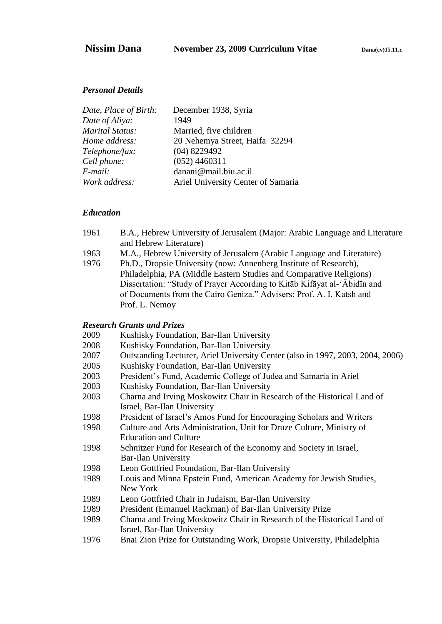#### *Personal Details*

| Date, Place of Birth: | December 1938, Syria               |
|-----------------------|------------------------------------|
| Date of Aliya:        | 1949                               |
| Marital Status:       | Married, five children             |
| Home address:         | 20 Nehemya Street, Haifa 32294     |
| Telephone/fax:        | $(04)$ 8229492                     |
| Cell phone:           | $(052)$ 4460311                    |
| E-mail:               | danani@mail.biu.ac.il              |
| Work address:         | Ariel University Center of Samaria |
|                       |                                    |

#### *Education*

| 1961           | B.A., Hebrew University of Jerusalem (Major: Arabic Language and Literature |
|----------------|-----------------------------------------------------------------------------|
|                | and Hebrew Literature)                                                      |
| 1963           | M.A., Hebrew University of Jerusalem (Arabic Language and Literature)       |
| 107 $\epsilon$ | $Dk D$ Decesia University (nove American Institute of Decessario)           |

1976 Ph.D., Dropsie University (now: Annenberg Institute of Research), Philadelphia, PA (Middle Eastern Studies and Comparative Religions) Dissertation: "Study of Prayer According to Kitāb Kifāyat al-'Ābidīn and of Documents from the Cairo Geniza." Advisers: Prof. A. I. Katsh and Prof. L. Nemoy

#### *Research Grants and Prizes*

| 2009   | Kushisky Foundation, Bar-Ilan University |
|--------|------------------------------------------|
| $\sim$ |                                          |

- 2008 Kushisky Foundation, Bar-Ilan University
- 2007 Outstanding Lecturer, Ariel University Center (also in 1997, 2003, 2004, 2006)
- 2005 Kushisky Foundation, Bar-Ilan University
- 2003 President's Fund, Academic College of Judea and Samaria in Ariel
- 2003 Kushisky Foundation, Bar-Ilan University
- 2003 Charna and Irving Moskowitz Chair in Research of the Historical Land of Israel, Bar-Ilan University
- 1998 President of Israel's Amos Fund for Encouraging Scholars and Writers
- 1998 Culture and Arts Administration, Unit for Druze Culture, Ministry of Education and Culture
- 1998 Schnitzer Fund for Research of the Economy and Society in Israel, Bar-Ilan University
- 1998 Leon Gottfried Foundation, Bar-Ilan University
- 1989 Louis and Minna Epstein Fund, American Academy for Jewish Studies, New York
- 1989 Leon Gottfried Chair in Judaism, Bar-Ilan University
- 1989 President (Emanuel Rackman) of Bar-Ilan University Prize
- 1989 Charna and Irving Moskowitz Chair in Research of the Historical Land of Israel, Bar-Ilan University
- 1976 Bnai Zion Prize for Outstanding Work, Dropsie University, Philadelphia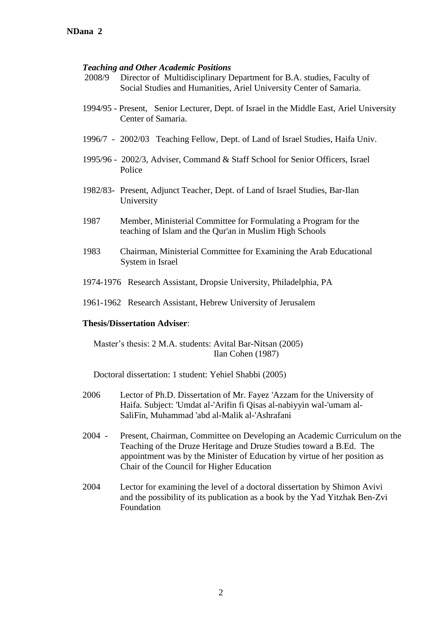#### *Teaching and Other Academic Positions*

- 2008/9 Director of Multidisciplinary Department for B.A. studies, Faculty of Social Studies and Humanities, Ariel University Center of Samaria.
- 1994/95 Present, Senior Lecturer, Dept. of Israel in the Middle East, Ariel University Center of Samaria.
- 1996/7 2002/03 Teaching Fellow, Dept. of Land of Israel Studies, Haifa Univ.
- 1995/96 2002/3, Adviser, Command & Staff School for Senior Officers, Israel Police
- 1982/83- Present, Adjunct Teacher, Dept. of Land of Israel Studies, Bar-Ilan University
- 1987 Member, Ministerial Committee for Formulating a Program for the teaching of Islam and the Qur'an in Muslim High Schools
- 1983 Chairman, Ministerial Committee for Examining the Arab Educational System in Israel
- 1974-1976 Research Assistant, Dropsie University, Philadelphia, PA
- 1961-1962 Research Assistant, Hebrew University of Jerusalem

#### **Thesis/Dissertation Adviser**:

Master's thesis: 2 M.A. students: Avital Bar-Nitsan (2005) Ilan Cohen (1987)

Doctoral dissertation: 1 student: Yehiel Shabbi (2005)

- 2006 Lector of Ph.D. Dissertation of Mr. Fayez 'Azzam for the University of Haifa. Subject: 'Umdat al-'Arifin fi Qisas al-nabiyyin wal-'umam al-SaliFin, Muhammad 'abd al-Malik al-'Ashrafani
- 2004 Present, Chairman, Committee on Developing an Academic Curriculum on the Teaching of the Druze Heritage and Druze Studies toward a B.Ed. The appointment was by the Minister of Education by virtue of her position as Chair of the Council for Higher Education
- 2004 Lector for examining the level of a doctoral dissertation by Shimon Avivi and the possibility of its publication as a book by the Yad Yitzhak Ben-Zvi Foundation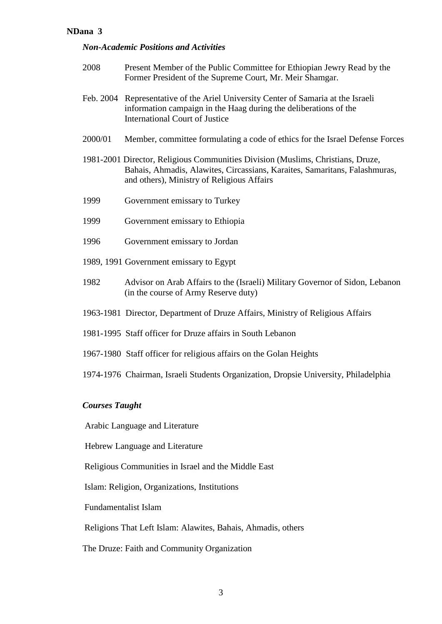## *Non-Academic Positions and Activities*

| 2008    | Present Member of the Public Committee for Ethiopian Jewry Read by the<br>Former President of the Supreme Court, Mr. Meir Shamgar.                                                                          |
|---------|-------------------------------------------------------------------------------------------------------------------------------------------------------------------------------------------------------------|
|         | Feb. 2004 Representative of the Ariel University Center of Samaria at the Israeli<br>information campaign in the Haag during the deliberations of the<br><b>International Court of Justice</b>              |
| 2000/01 | Member, committee formulating a code of ethics for the Israel Defense Forces                                                                                                                                |
|         | 1981-2001 Director, Religious Communities Division (Muslims, Christians, Druze,<br>Bahais, Ahmadis, Alawites, Circassians, Karaites, Samaritans, Falashmuras,<br>and others), Ministry of Religious Affairs |
| 1999    | Government emissary to Turkey                                                                                                                                                                               |
| 1999    | Government emissary to Ethiopia                                                                                                                                                                             |
| 1996    | Government emissary to Jordan                                                                                                                                                                               |
|         | 1989, 1991 Government emissary to Egypt                                                                                                                                                                     |
| 1982    | Advisor on Arab Affairs to the (Israeli) Military Governor of Sidon, Lebanon<br>(in the course of Army Reserve duty)                                                                                        |
|         | 1963-1981 Director, Department of Druze Affairs, Ministry of Religious Affairs                                                                                                                              |
|         | 1981-1995 Staff officer for Druze affairs in South Lebanon                                                                                                                                                  |
|         | 1967-1980 Staff officer for religious affairs on the Golan Heights                                                                                                                                          |
|         | 1974-1976 Chairman, Israeli Students Organization, Dropsie University, Philadelphia                                                                                                                         |

# *Courses Taught*

Arabic Language and Literature

Hebrew Language and Literature

Religious Communities in Israel and the Middle East

Islam: Religion, Organizations, Institutions

Fundamentalist Islam

Religions That Left Islam: Alawites, Bahais, Ahmadis, others

The Druze: Faith and Community Organization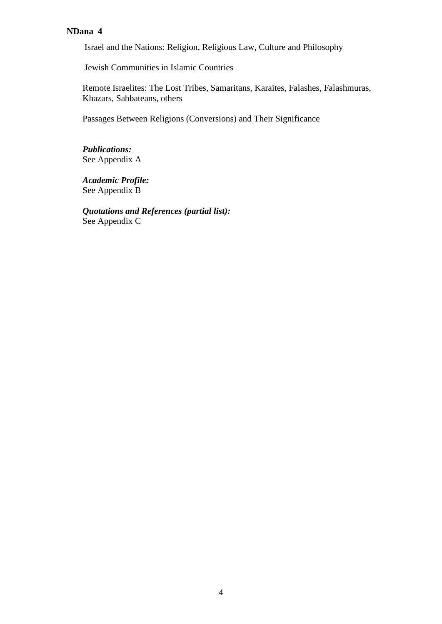Israel and the Nations: Religion, Religious Law, Culture and Philosophy

Jewish Communities in Islamic Countries

Remote Israelites: The Lost Tribes, Samaritans, Karaites, Falashes, Falashmuras, Khazars, Sabbateans, others

Passages Between Religions (Conversions) and Their Significance

*Publications:* See Appendix A

*Academic Profile:* See Appendix B

*Quotations and References (partial list):* See Appendix C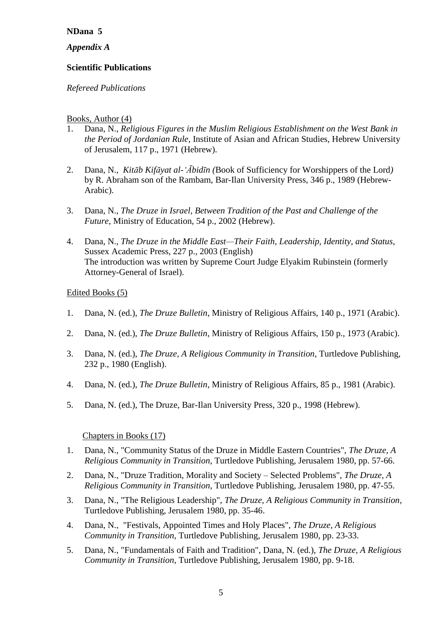*Appendix A*

## **Scientific Publications**

## *Refereed Publications*

## Books, Author (4)

- 1. Dana, N., *Religious Figures in the Muslim Religious Establishment on the West Bank in the Period of Jordanian Rule*, Institute of Asian and African Studies, Hebrew University of Jerusalem, 117 p., 1971 (Hebrew).
- 2. Dana, N., *Kitāb Kifāyat al-'Ābidīn (*Book of Sufficiency for Worshippers of the Lord*)* by R. Abraham son of the Rambam, Bar-Ilan University Press, 346 p., 1989 (Hebrew-Arabic).
- 3. Dana, N., *The Druze in Israel, Between Tradition of the Past and Challenge of the Future*, Ministry of Education, 54 p., 2002 (Hebrew).
- 4. Dana, N., *The Druze in the Middle East—Their Faith, Leadership, Identity, and Status*, Sussex Academic Press, 227 p., 2003 (English) The introduction was written by Supreme Court Judge Elyakim Rubinstein (formerly Attorney-General of Israel).

## Edited Books (5)

- 1. Dana, N. (ed.), *The Druze Bulletin*, Ministry of Religious Affairs, 140 p., 1971 (Arabic).
- 2. Dana, N. (ed.), *The Druze Bulletin*, Ministry of Religious Affairs, 150 p., 1973 (Arabic).
- 3. Dana, N. (ed.), *The Druze, A Religious Community in Transition*, Turtledove Publishing, 232 p., 1980 (English).
- 4. Dana, N. (ed.), *The Druze Bulletin*, Ministry of Religious Affairs, 85 p., 1981 (Arabic).
- 5. Dana, N. (ed.), The Druze, Bar-Ilan University Press, 320 p., 1998 (Hebrew).

#### Chapters in Books (17)

- 1. Dana, N., "Community Status of the Druze in Middle Eastern Countries", *The Druze, A Religious Community in Transition*, Turtledove Publishing, Jerusalem 1980, pp. 57-66.
- 2. Dana, N., "Druze Tradition, Morality and Society Selected Problems", *The Druze, A Religious Community in Transition*, Turtledove Publishing, Jerusalem 1980, pp. 47-55.
- 3. Dana, N., "The Religious Leadership", *The Druze, A Religious Community in Transition*, Turtledove Publishing, Jerusalem 1980, pp. 35-46.
- 4. Dana, N., "Festivals, Appointed Times and Holy Places", *The Druze, A Religious Community in Transition*, Turtledove Publishing, Jerusalem 1980, pp. 23-33.
- 5. Dana, N., "Fundamentals of Faith and Tradition", Dana, N. (ed.), *The Druze, A Religious Community in Transition*, Turtledove Publishing, Jerusalem 1980, pp. 9-18.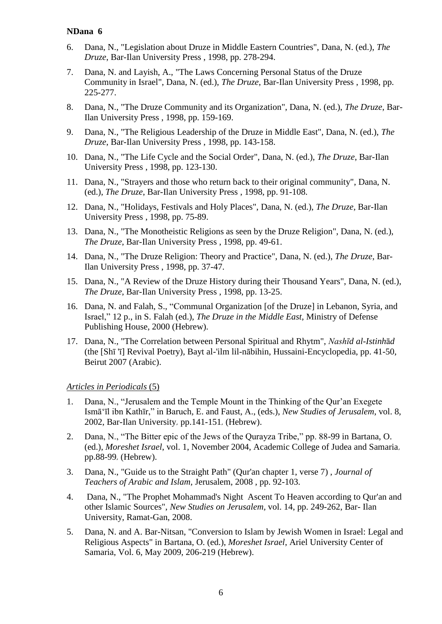- 6. Dana, N., "Legislation about Druze in Middle Eastern Countries", Dana, N. (ed.), *The Druze*, Bar-Ilan University Press , 1998, pp. 278-294.
- 7. Dana, N. and Layish, A., "The Laws Concerning Personal Status of the Druze Community in Israel", Dana, N. (ed.), *The Druze*, Bar-Ilan University Press , 1998, pp. 225-277.
- 8. Dana, N., "The Druze Community and its Organization", Dana, N. (ed.), *The Druze*, Bar-Ilan University Press , 1998, pp. 159-169.
- 9. Dana, N., "The Religious Leadership of the Druze in Middle East", Dana, N. (ed.), *The Druze*, Bar-Ilan University Press , 1998, pp. 143-158.
- 10. Dana, N., "The Life Cycle and the Social Order", Dana, N. (ed.), *The Druze*, Bar-Ilan University Press , 1998, pp. 123-130.
- 11. Dana, N., "Strayers and those who return back to their original community", Dana, N. (ed.), *The Druze*, Bar-Ilan University Press , 1998, pp. 91-108.
- 12. Dana, N., "Holidays, Festivals and Holy Places", Dana, N. (ed.), *The Druze*, Bar-Ilan University Press , 1998, pp. 75-89.
- 13. Dana, N., "The Monotheistic Religions as seen by the Druze Religion", Dana, N. (ed.), *The Druze*, Bar-Ilan University Press , 1998, pp. 49-61.
- 14. Dana, N., "The Druze Religion: Theory and Practice", Dana, N. (ed.), *The Druze*, Bar-Ilan University Press , 1998, pp. 37-47.
- 15. Dana, N., "A Review of the Druze History during their Thousand Years", Dana, N. (ed.), *The Druze*, Bar-Ilan University Press , 1998, pp. 13-25.
- 16. Dana, N. and Falah, S., "Communal Organization [of the Druze] in Lebanon, Syria, and Israel," 12 p., in S. Falah (ed.), *The Druze in the Middle East*, Ministry of Defense Publishing House, 2000 (Hebrew).
- 17. Dana, N., "The Correlation between Personal Spiritual and Rhytm", *Nashīd al-Istinh*ā*d* (the [Shī 'ī] Revival Poetry), Bayt al-'ilm lil-nābihin, Hussaini-Encyclopedia, pp. 41-50, Beirut 2007 (Arabic).

#### *Articles in Periodicals* (5)

- 1. Dana, N., "Jerusalem and the Temple Mount in the Thinking of the Our'an Exegete Ismā'īl ibn Kathīr," in Baruch, E. and Faust, A., (eds.), *New Studies of Jerusalem*, vol. 8, 2002, Bar-Ilan University, pp.141-151, (Hebrew).
- 2. Dana, N., "The Bitter epic of the Jews of the Qurayza Tribe," pp. 88-99 in Bartana, O. (ed.), *Moreshet Israel*, vol. 1, November 2004, Academic College of Judea and Samaria, pp.88-99, (Hebrew).
- 3. Dana, N., "Guide us to the Straight Path" (Qur'an chapter 1, verse 7) , *Journal of Teachers of Arabic and Islam,* Jerusalem, 2008 , pp. 92-103.
- 4. Dana, N., "The Prophet Mohammad's Night Ascent To Heaven according to Qur'an and other Islamic Sources", *New Studies on Jerusalem,* vol. 14, pp. 249-262, Bar- Ilan University, Ramat-Gan, 2008.
- 5. Dana, N. and A. Bar-Nitsan, "Conversion to Islam by Jewish Women in Israel: Legal and Religious Aspects" in Bartana, O. (ed.), *Moreshet Israel*, Ariel University Center of Samaria, Vol. 6, May 2009, 206-219 (Hebrew).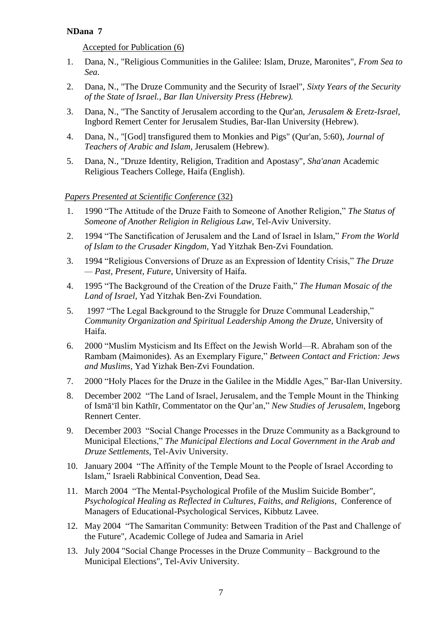Accepted for Publication (6)

- 1. Dana, N., "Religious Communities in the Galilee: Islam, Druze, Maronites", *From Sea to Sea*.
- 2. Dana, N., "The Druze Community and the Security of Israel", *Sixty Years of the Security of the State of Israel., Bar Ilan University Press (Hebrew).*
- 3. Dana, N., "The Sanctity of Jerusalem according to the Qur'an, *Jerusalem & Eretz-Israel*, Ingbord Remert Center for Jerusalem Studies, Bar-Ilan University (Hebrew).
- 4. Dana, N., "[God] transfigured them to Monkies and Pigs" (Qur'an, 5:60), *Journal of Teachers of Arabic and Islam*, Jerusalem (Hebrew).
- 5. Dana, N., "Druze Identity, Religion, Tradition and Apostasy", *Sha'anan* Academic Religious Teachers College, Haifa (English).

# *Papers Presented at Scientific Conference* (32)

- 1. 1990 "The Attitude of the Druze Faith to Someone of Another Religion," The Status of *Someone of Another Religion in Religious Law,* Tel-Aviv University.
- 2. 1994 "The Sanctification of Jerusalem and the Land of Israel in Islam," *From the World of Islam to the Crusader Kingdom,* Yad Yitzhak Ben-Zvi Foundation*.*
- 3. 1994 "Religious Conversions of Druze as an Expression of Identity Crisis," The Druze *— Past, Present, Future*, University of Haifa.
- 4. 1995 "The Background of the Creation of the Druze Faith," The Human Mosaic of the *Land of Israel,* Yad Yitzhak Ben-Zvi Foundation.
- 5. 1997 "The Legal Background to the Struggle for Druze Communal Leadership," *Community Organization and Spiritual Leadership Among the Druze,* University of Haifa.
- 6. 2000 "Muslim Mysticism and Its Effect on the Jewish World—R. Abraham son of the Rambam (Maimonides). As an Exemplary Figure," *Between Contact and Friction: Jews and Muslims,* Yad Yizhak Ben-Zvi Foundation.
- 7. 2000 "Holy Places for the Druze in the Galilee in the Middle Ages," Bar-Ilan University.
- 8. December 2002 "The Land of Israel, Jerusalem, and the Temple Mount in the Thinking of Ismā‗īl bin Kathīr, Commentator on the Qur'an,‖ *New Studies of Jerusalem,* Ingeborg Rennert Center.
- 9. December 2003 "Social Change Processes in the Druze Community as a Background to Municipal Elections," *The Municipal Elections and Local Government in the Arab and Druze Settlements,* Tel-Aviv University.
- 10. January 2004 "The Affinity of the Temple Mount to the People of Israel According to Islam," Israeli Rabbinical Convention, Dead Sea.
- 11. March 2004 "The Mental-Psychological Profile of the Muslim Suicide Bomber", *Psychological Healing as Reflected in Cultures, Faiths, and Religions,* Conference of Managers of Educational-Psychological Services, Kibbutz Lavee.
- 12. May 2004 "The Samaritan Community: Between Tradition of the Past and Challenge of the Future", Academic College of Judea and Samaria in Ariel
- 13. July 2004 "Social Change Processes in the Druze Community Background to the Municipal Elections", Tel-Aviv University.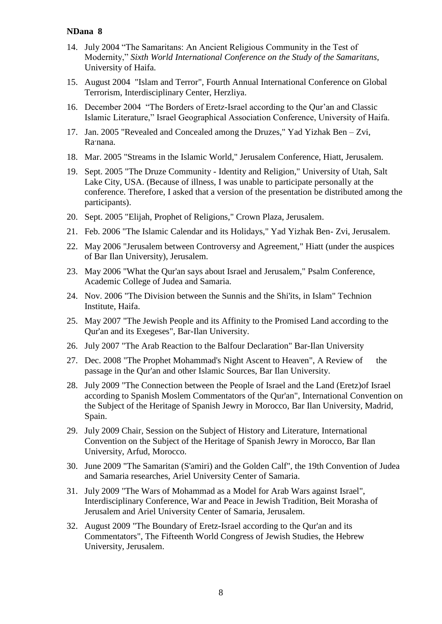- 14. July 2004 "The Samaritans: An Ancient Religious Community in the Test of Modernity,‖ *Sixth World International Conference on the Study of the Samaritans*, University of Haifa.
- 15. August 2004 "Islam and Terror", Fourth Annual International Conference on Global Terrorism, Interdisciplinary Center, Herzliya.
- 16. December 2004 "The Borders of Eretz-Israel according to the Our'an and Classic Islamic Literature," Israel Geographical Association Conference, University of Haifa.
- 17. Jan. 2005 "Revealed and Concealed among the Druzes," Yad Yizhak Ben Zvi, Ra'nana.
- 18. Mar. 2005 "Streams in the Islamic World," Jerusalem Conference, Hiatt, Jerusalem.
- 19. Sept. 2005 "The Druze Community Identity and Religion," University of Utah, Salt Lake City, USA. (Because of illness, I was unable to participate personally at the conference. Therefore, I asked that a version of the presentation be distributed among the participants).
- 20. Sept. 2005 "Elijah, Prophet of Religions," Crown Plaza, Jerusalem.
- 21. Feb. 2006 "The Islamic Calendar and its Holidays," Yad Yizhak Ben- Zvi, Jerusalem.
- 22. May 2006 "Jerusalem between Controversy and Agreement," Hiatt (under the auspices of Bar Ilan University), Jerusalem.
- 23. May 2006 "What the Qur'an says about Israel and Jerusalem," Psalm Conference, Academic College of Judea and Samaria.
- 24. Nov. 2006 "The Division between the Sunnis and the Shi'its, in Islam" Technion Institute, Haifa.
- 25. May 2007 "The Jewish People and its Affinity to the Promised Land according to the Qur'an and its Exegeses", Bar-Ilan University.
- 26. July 2007 "The Arab Reaction to the Balfour Declaration" Bar-Ilan University
- 27. Dec. 2008 "The Prophet Mohammad's Night Ascent to Heaven", A Review of the passage in the Qur'an and other Islamic Sources, Bar Ilan University.
- 28. July 2009 "The Connection between the People of Israel and the Land (Eretz)of Israel according to Spanish Moslem Commentators of the Qur'an", International Convention on the Subject of the Heritage of Spanish Jewry in Morocco, Bar Ilan University, Madrid, Spain.
- 29. July 2009 Chair, Session on the Subject of History and Literature, International Convention on the Subject of the Heritage of Spanish Jewry in Morocco, Bar Ilan University, Arfud, Morocco.
- 30. June 2009 "The Samaritan (S'amiri) and the Golden Calf", the 19th Convention of Judea and Samaria researches, Ariel University Center of Samaria.
- 31. July 2009 "The Wars of Mohammad as a Model for Arab Wars against Israel", Interdisciplinary Conference, War and Peace in Jewish Tradition, Beit Morasha of Jerusalem and Ariel University Center of Samaria, Jerusalem.
- 32. August 2009 "The Boundary of Eretz-Israel according to the Qur'an and its Commentators", The Fifteenth World Congress of Jewish Studies, the Hebrew University, Jerusalem.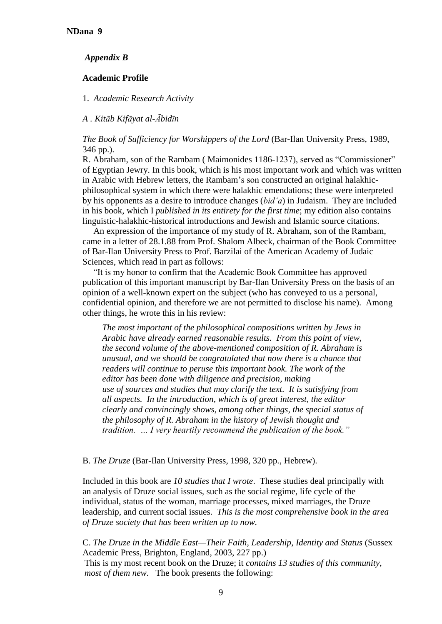### *Appendix B*

### **Academic Profile**

1. *Academic Research Activity*

## *A . Kitāb Kifāyat al-Ābidīn*

*The Book of Sufficiency for Worshippers of the Lord* (Bar-Ilan University Press, 1989, 346 pp.).

R. Abraham, son of the Rambam (Maimonides 1186-1237), served as "Commissioner" of Egyptian Jewry. In this book, which is his most important work and which was written in Arabic with Hebrew letters, the Rambam's son constructed an original halakhicphilosophical system in which there were halakhic emendations; these were interpreted by his opponents as a desire to introduce changes (*bid'a*) in Judaism. They are included in his book, which I *published in its entirety for the first time*; my edition also contains linguistic-halakhic-historical introductions and Jewish and Islamic source citations.

An expression of the importance of my study of R. Abraham, son of the Rambam, came in a letter of 28.1.88 from Prof. Shalom Albeck, chairman of the Book Committee of Bar-Ilan University Press to Prof. Barzilai of the American Academy of Judaic Sciences, which read in part as follows:

―It is my honor to confirm that the Academic Book Committee has approved publication of this important manuscript by Bar-Ilan University Press on the basis of an opinion of a well-known expert on the subject (who has conveyed to us a personal, confidential opinion, and therefore we are not permitted to disclose his name). Among other things, he wrote this in his review:

*The most important of the philosophical compositions written by Jews in Arabic have already earned reasonable results. From this point of view, the second volume of the above-mentioned composition of R. Abraham is unusual, and we should be congratulated that now there is a chance that readers will continue to peruse this important book. The work of the editor has been done with diligence and precision, making use of sources and studies that may clarify the text. It is satisfying from all aspects. In the introduction, which is of great interest, the editor clearly and convincingly shows, among other things, the special status of the philosophy of R. Abraham in the history of Jewish thought and tradition. … I very heartily recommend the publication of the book."*

#### B. *The Druze* (Bar-Ilan University Press, 1998, 320 pp., Hebrew).

Included in this book are *10 studies that I wrote*. These studies deal principally with an analysis of Druze social issues, such as the social regime, life cycle of the individual, status of the woman, marriage processes, mixed marriages, the Druze leadership, and current social issues. *This is the most comprehensive book in the area of Druze society that has been written up to now.*

C. *The Druze in the Middle East—Their Faith, Leadership, Identity and Status* (Sussex Academic Press, Brighton, England, 2003, 227 pp.) This is my most recent book on the Druze; it *contains 13 studies of this community*, *most of them new*. The book presents the following: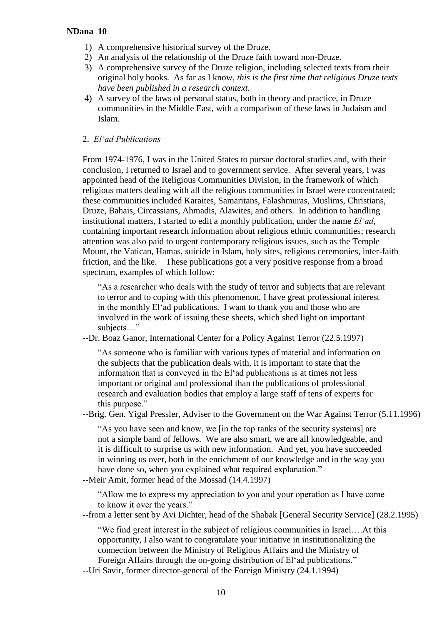- 1) A comprehensive historical survey of the Druze.
- 2) An analysis of the relationship of the Druze faith toward non-Druze.
- 3) A comprehensive survey of the Druze religion, including selected texts from their original holy books. As far as I know, *this is the first time that religious Druze texts have been published in a research context.*
- 4) A survey of the laws of personal status, both in theory and practice, in Druze communities in the Middle East, with a comparison of these laws in Judaism and Islam.

#### 2. *El'ad Publications*

From 1974-1976, I was in the United States to pursue doctoral studies and, with their conclusion, I returned to Israel and to government service. After several years, I was appointed head of the Religious Communities Division, in the framework of which religious matters dealing with all the religious communities in Israel were concentrated; these communities included Karaites, Samaritans, Falashmuras, Muslims, Christians, Druze, Bahais, Circassians, Ahmadis, Alawites, and others. In addition to handling institutional matters, I started to edit a monthly publication, under the name *El'ad*, containing important research information about religious ethnic communities; research attention was also paid to urgent contemporary religious issues, such as the Temple Mount, the Vatican, Hamas, suicide in Islam, holy sites, religious ceremonies, inter-faith friction, and the like. These publications got a very positive response from a broad spectrum, examples of which follow:

―As a researcher who deals with the study of terror and subjects that are relevant to terror and to coping with this phenomenon, I have great professional interest in the monthly El'ad publications. I want to thank you and those who are involved in the work of issuing these sheets, which shed light on important subjects…"

--Dr. Boaz Ganor, International Center for a Policy Against Terror (22.5.1997)

―As someone who is familiar with various types of material and information on the subjects that the publication deals with, it is important to state that the information that is conveyed in the El'ad publications is at times not less important or original and professional than the publications of professional research and evaluation bodies that employ a large staff of tens of experts for this purpose."

--Brig. Gen. Yigal Pressler, Adviser to the Government on the War Against Terror (5.11.1996)

"As you have seen and know, we [in the top ranks of the security systems] are not a simple band of fellows. We are also smart, we are all knowledgeable, and it is difficult to surprise us with new information. And yet, you have succeeded in winning us over, both in the enrichment of our knowledge and in the way you have done so, when you explained what required explanation."

--Meir Amit, former head of the Mossad (14.4.1997)

―Allow me to express my appreciation to you and your operation as I have come to know it over the years."

--from a letter sent by Avi Dichter, head of the Shabak [General Security Service] (28.2.1995)

―We find great interest in the subject of religious communities in Israel….At this opportunity, I also want to congratulate your initiative in institutionalizing the connection between the Ministry of Religious Affairs and the Ministry of Foreign Affairs through the on-going distribution of El'ad publications."

--Uri Savir, former director-general of the Foreign Ministry (24.1.1994)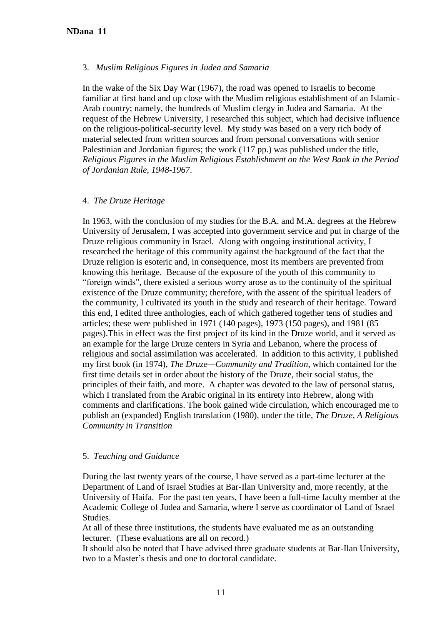#### 3. *Muslim Religious Figures in Judea and Samaria*

In the wake of the Six Day War (1967), the road was opened to Israelis to become familiar at first hand and up close with the Muslim religious establishment of an Islamic-Arab country; namely, the hundreds of Muslim clergy in Judea and Samaria. At the request of the Hebrew University, I researched this subject, which had decisive influence on the religious-political-security level. My study was based on a very rich body of material selected from written sources and from personal conversations with senior Palestinian and Jordanian figures; the work (117 pp.) was published under the title, *Religious Figures in the Muslim Religious Establishment on the West Bank in the Period of Jordanian Rule*, *1948-1967*.

#### 4. *The Druze Heritage*

In 1963, with the conclusion of my studies for the B.A. and M.A. degrees at the Hebrew University of Jerusalem, I was accepted into government service and put in charge of the Druze religious community in Israel. Along with ongoing institutional activity, I researched the heritage of this community against the background of the fact that the Druze religion is esoteric and, in consequence, most its members are prevented from knowing this heritage. Because of the exposure of the youth of this community to ―foreign winds", there existed a serious worry arose as to the continuity of the spiritual existence of the Druze community; therefore, with the assent of the spiritual leaders of the community, I cultivated its youth in the study and research of their heritage. Toward this end, I edited three anthologies, each of which gathered together tens of studies and articles; these were published in 1971 (140 pages), 1973 (150 pages), and 1981 (85 pages).This in effect was the first project of its kind in the Druze world, and it served as an example for the large Druze centers in Syria and Lebanon, where the process of religious and social assimilation was accelerated. In addition to this activity, I published my first book (in 1974), *The Druze—Community and Tradition*, which contained for the first time details set in order about the history of the Druze, their social status, the principles of their faith, and more. A chapter was devoted to the law of personal status, which I translated from the Arabic original in its entirety into Hebrew, along with comments and clarifications. The book gained wide circulation, which encouraged me to publish an (expanded) English translation (1980), under the title, *The Druze, A Religious Community in Transition*

#### 5. *Teaching and Guidance*

During the last twenty years of the course, I have served as a part-time lecturer at the Department of Land of Israel Studies at Bar-Ilan University and, more recently, at the University of Haifa. For the past ten years, I have been a full-time faculty member at the Academic College of Judea and Samaria, where I serve as coordinator of Land of Israel Studies.

At all of these three institutions, the students have evaluated me as an outstanding lecturer. (These evaluations are all on record.)

It should also be noted that I have advised three graduate students at Bar-Ilan University, two to a Master's thesis and one to doctoral candidate.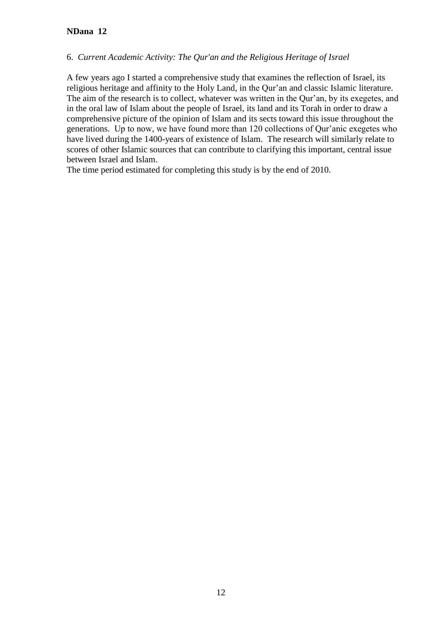### 6. *Current Academic Activity: The Qur'an and the Religious Heritage of Israel*

A few years ago I started a comprehensive study that examines the reflection of Israel, its religious heritage and affinity to the Holy Land, in the Qur'an and classic Islamic literature. The aim of the research is to collect, whatever was written in the Qur'an, by its exegetes, and in the oral law of Islam about the people of Israel, its land and its Torah in order to draw a comprehensive picture of the opinion of Islam and its sects toward this issue throughout the generations. Up to now, we have found more than 120 collections of Qur'anic exegetes who have lived during the 1400-years of existence of Islam. The research will similarly relate to scores of other Islamic sources that can contribute to clarifying this important, central issue between Israel and Islam.

The time period estimated for completing this study is by the end of 2010.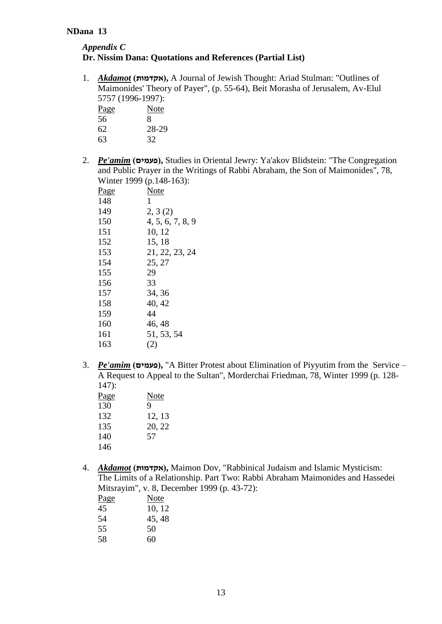# *Appendix C* **Dr. Nissim Dana: Quotations and References (Partial List)**

1. *Akdamot* **)אקדמות),** A Journal of Jewish Thought: Ariad Stulman: "Outlines of Maimonides' Theory of Payer", (p. 55-64), Beit Morasha of Jerusalem, Av-Elul 5757 (1996-1997):

| <i><u>JIJI (1770 1771).</u></i> |       |
|---------------------------------|-------|
| <u>Page</u>                     | Note  |
| 56                              | x     |
| 62                              | 28-29 |
| 63                              | 32    |

2. *Pe'amim* **)פעמים),** Studies in Oriental Jewry: Ya'akov Blidstein: "The Congregation and Public Prayer in the Writings of Rabbi Abraham, the Son of Maimonides", 78, Winter 1999 (p.148-163):

| <u>Page</u> | Note             |
|-------------|------------------|
| 148         | 1                |
| 149         | 2, 3(2)          |
| 150         | 4, 5, 6, 7, 8, 9 |
| 151         | 10, 12           |
| 152         | 15, 18           |
| 153         | 21, 22, 23, 24   |
| 154         | 25, 27           |
| 155         | 29               |
| 156         | 33               |
| 157         | 34, 36           |
| 158         | 40, 42           |
| 159         | 44               |
| 160         | 46, 48           |
| 161         | 51, 53, 54       |
| 163         | (2)              |
|             |                  |

3. *Pe'amim* (פעמים), "A Bitter Protest about Elimination of Piyyutim from the Service – A Request to Appeal to the Sultan", Morderchai Friedman, 78, Winter 1999 (p. 128- 147):

| <u>Page</u> | Note   |
|-------------|--------|
| 130         | 9      |
| 132         | 12, 13 |
| 135         | 20, 22 |
| 140         | 57     |
| 146         |        |
|             |        |

4. *Akdamot* **)אקדמות),** Maimon Dov, "Rabbinical Judaism and Islamic Mysticism: The Limits of a Relationship. Part Two: Rabbi Abraham Maimonides and Hassedei Mitsrayim", v. 8, December 1999 (p. 43-72):

| <u>Page</u> | Note   |
|-------------|--------|
| 45          | 10, 12 |
| 54          | 45, 48 |
| 55          | 50     |
| 58          | 60     |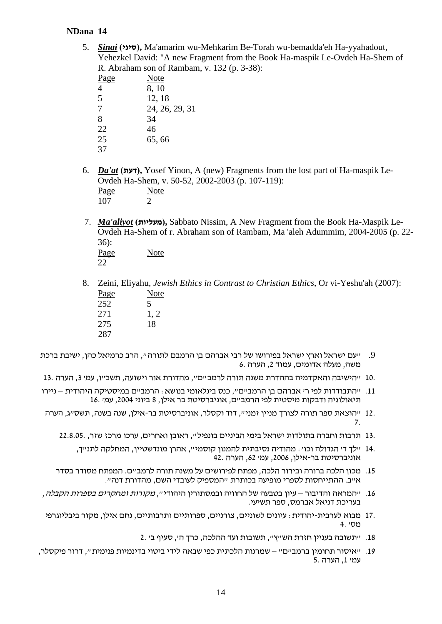5. *Sinai* **)סיני),** Ma'amarim wu-Mehkarim Be-Torah wu-bemadda'eh Ha-yyahadout, Yehezkel David: "A new Fragment from the Book Ha-maspik Le-Ovdeh Ha-Shem of R. Abraham son of Rambam, v. 132 (p. 3-38):

| <u>Page</u> | Note           |
|-------------|----------------|
| 4           | 8, 10          |
| 5           | 12, 18         |
| 7           | 24, 26, 29, 31 |
| 8           | 34             |
| 22          | 46             |
| 25          | 65,66          |
| 37          |                |
|             |                |

- 6. *Da'at* **)דעת),** Yosef Yinon, A (new) Fragments from the lost part of Ha-maspik Le-Ovdeh Ha-Shem, v. 50-52, 2002-2003 (p. 107-119):  $\frac{\text{Page}}{107}$  Note 107
- 7. *Ma'aliyot* **)מעליות),** Sabbato Nissim, A New Fragment from the Book Ha-Maspik Le-Ovdeh Ha-Shem of r. Abraham son of Rambam, Ma 'aleh Adummim, 2004-2005 (p. 22- 36):

Page Note 22

8. Zeini, Eliyahu, *Jewish Ethics in Contrast to Christian Ethics*, Or vi-Yeshu'ah (2007): Page Note 252 5 271 1, 2

275 18 287

- .9 "עם ישראל וארץ ישראל בפירושו של רבי אברהם בן הרמבם לתורה", הרב כרמיאל כהן, ישיבת ברכת משה, מעלה אדומים, עמוד ,2 הערה 6.
- 10. "הישיבה והאקדמיה בההדרת משנה תורה לרמב"ם", מהדורת אור וישועה, תשכ"ו, עמ' ,3 הערה 13.
- .11 "התבודדות לפי ר' אברהם בן הרמב"ם", כנס בינלאומי בנושא: הרמב"ם במיסטיקה היהודית ניירו תיאולוגיה ודבקות מיסטית לפי הרמב"ם, אוניברסיטת בר אילן, 8 ביוני ,2004 עמ' 16.
- 12. "הוצאת ספר תורה לצורך מניין זמני", דוד וקסלר, אוניברסיטת בר-אילן, שנה בשנה, תשס"ג, הערה 7.
	- 13. תרבות וחברה בתולדות ישראל בימי הביניים בונפיל", ראובן ואחרים, ערכו מרכז שזר, 22.8.05.
		- 14. "לך ד' הגדולה וכו': מהודיה נסיבתית להמנון קוסמי", אהרן מונדשטיין, המחלקה לתנ"ך, אוניברסיטת בר-אילן, ,2006 עמ' ,62 הערה 42.
	- .15 מכון הלכה ברורה ובירור הלכה, מפתח לפירושים על משנה תורה לרמב"ם. המפתח מסודר בסדר א"ב. ההתייחסות לספרי מופיעה בכותרת "המספיק לעובדי השם, מהדורת דנה".
- .16 "המראה והדיבור עיון בטבעה של החוויה ובמסתורין היהודי", מקורות ומחקרים בספרות הקבלה, בעריכת דניאל אברמס, ספר תשיעי.
- 17. מבוא לערבית-יהודית: עיונים לשוניים, צורניים, ספרותיים ותרבותיים, נחם אילן, מקור ביבליוגרפי מס' 4.
	- .18 "תשובה בעניין חזרת הש"ץ", תשובות ועד ההלכה, כרך ה', סעיף ב' 2.
- .19 "איסור תחומין ברמב"ם" שמרנות הלכתית כפי שבאה לידי ביטוי בדינמיות פנימית", דרור פיקסלר, עמ' ,1 הערה 5.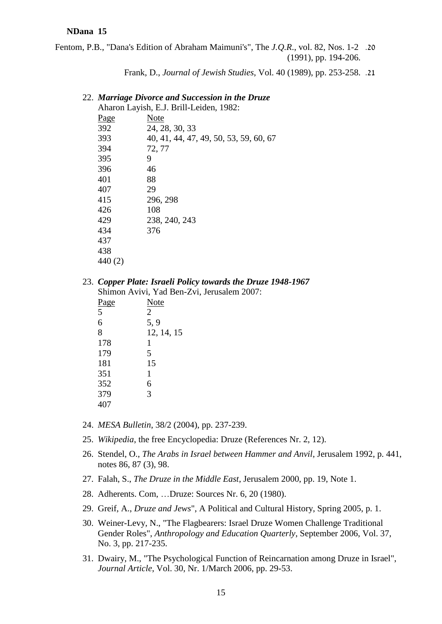Fentom, P.B., "Dana's Edition of Abraham Maimuni's", The *J.Q.R*., vol. 82, Nos. 1-2 .20 (1991), pp. 194-206.

Frank, D., *Journal of Jewish Studies*, Vol. 40 (1989), pp. 253-258. .21

#### 22. *Marriage Divorce and Succession in the Druze*

| Aharon Layish, E.J. Brill-Leiden, 1982: |                                        |  |
|-----------------------------------------|----------------------------------------|--|
| <u>Page</u>                             | Note                                   |  |
| 392                                     | 24, 28, 30, 33                         |  |
| 393                                     | 40, 41, 44, 47, 49, 50, 53, 59, 60, 67 |  |
| 394                                     | 72, 77                                 |  |
| 395                                     | 9                                      |  |
| 396                                     | 46                                     |  |
| 401                                     | 88                                     |  |
| 407                                     | 29                                     |  |
| 415                                     | 296, 298                               |  |
| 426                                     | 108                                    |  |
| 429                                     | 238, 240, 243                          |  |
| 434                                     | 376                                    |  |
| 437                                     |                                        |  |
| 438                                     |                                        |  |
| 440(2)                                  |                                        |  |

23. *Copper Plate: Israeli Policy towards the Druze 1948-1967* Shimon Avivi, Yad Ben-Zvi, Jerusalem 2007:

| Note           |
|----------------|
| $\overline{2}$ |
| 5, 9           |
| 12, 14, 15     |
| 1              |
| 5              |
| 15             |
| 1              |
| 6              |
| 3              |
|                |
|                |

- 24. *MESA Bulletin*, 38/2 (2004), pp. 237-239.
- 25. *Wikipedia*, the free Encyclopedia: Druze (References Nr. 2, 12).
- 26. Stendel, O., *The Arabs in Israel between Hammer and Anvil*, Jerusalem 1992, p. 441, notes 86, 87 (3), 98.
- 27. Falah, S., *The Druze in the Middle East*, Jerusalem 2000, pp. 19, Note 1.
- 28. Adherents. Com, …Druze: Sources Nr. 6, 20 (1980).
- 29. Greif, A., *Druze and Jews*", A Political and Cultural History, Spring 2005, p. 1.
- 30. Weiner-Levy, N., "The Flagbearers: Israel Druze Women Challenge Traditional Gender Roles", *Anthropology and Education Quarterly*, September 2006, Vol. 37, No. 3, pp. 217-235.
- 31. Dwairy, M., "The Psychological Function of Reincarnation among Druze in Israel", *Journal Article*, Vol. 30, Nr. 1/March 2006, pp. 29-53.